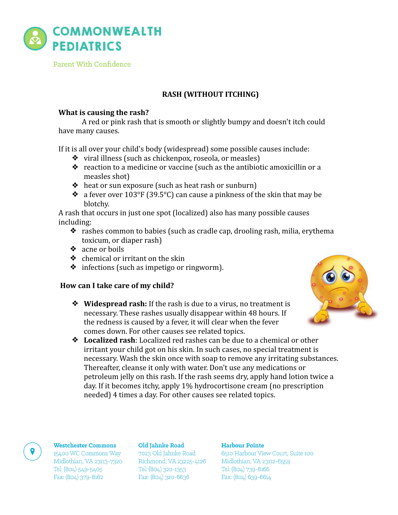

Parent With Confidence

# **RASH (WITHOUT ITCHING)**

## **What is causing the rash?**

A red or pink rash that is smooth or slightly bumpy and doesn't itch could have many causes.

If it is all over your child's body (widespread) some possible causes include:

- $\bullet$  viral illness (such as chickenpox, roseola, or measles)
- $\bullet$  reaction to a medicine or vaccine (such as the antibiotic amoxicillin or a measles shot)
- ◆ heat or sun exposure (such as heat rash or sunburn)
- $\bullet$  a fever over 103°F (39.5°C) can cause a pinkness of the skin that may be blotchy.

A rash that occurs in just one spot (localized) also has many possible causes including:

- $\bullet$  rashes common to babies (such as cradle cap, drooling rash, milia, erythema toxicum, or diaper rash)
- ❖ acne or boils
- $\triangleleft$  chemical or irritant on the skin
- $\bullet$  infections (such as impetigo or ringworm).

# How can I take care of my child?

**❖** Widespread rash: If the rash is due to a virus, no treatment is necessary. These rashes usually disappear within 48 hours. If the redness is caused by a fever, it will clear when the fever comes down. For other causes see related topics.



**❖** Localized rash: Localized red rashes can be due to a chemical or other irritant your child got on his skin. In such cases, no special treatment is necessary. Wash the skin once with soap to remove any irritating substances. Thereafter, cleanse it only with water. Don't use any medications or petroleum jelly on this rash. If the rash seems dry, apply hand lotion twice a day. If it becomes itchy, apply 1% hydrocortisone cream (no prescription needed) 4 times a day. For other causes see related topics.

### **Westchester Commons**

15400 WC Commons Way Midlothian, VA 23113-7320 Tel: (804) 549-5405 Fax: (804) 379-8162

#### Old Jahnke Road

7023 Old Jahnke Road Richmond, VA 23225-4126 Tel: (804) 320-1353 Fax: (804) 320-6636

### Harbour Pointe

6510 Harbour View Court, Suite 100 Midlothian, VA 23112-6559 Tel: (804) 739-8166 Fax: (804) 639-6614